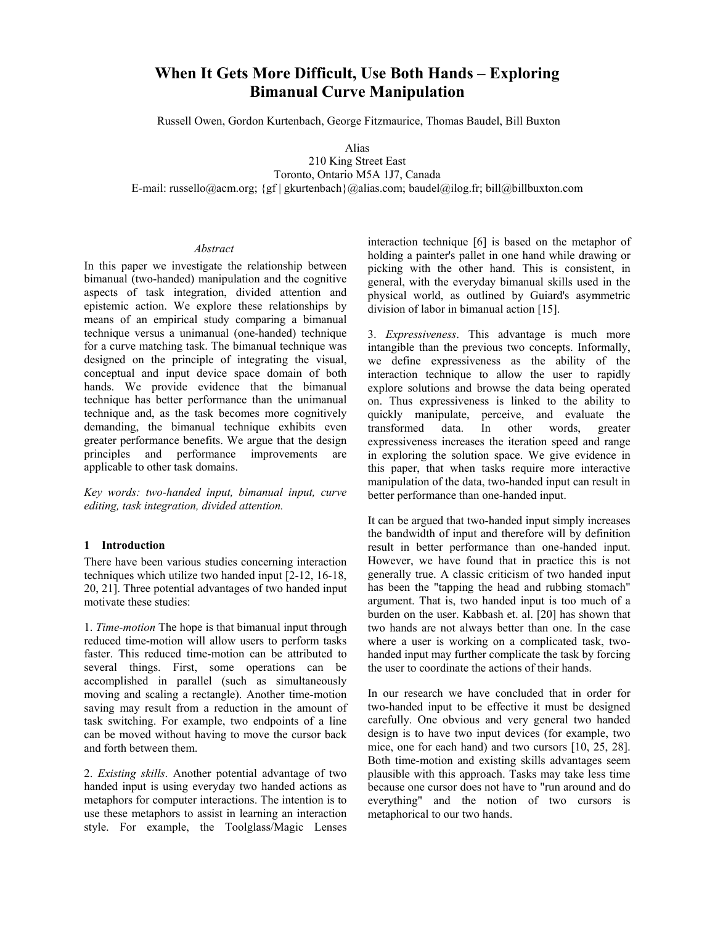# **When It Gets More Difficult, Use Both Hands – Exploring Bimanual Curve Manipulation**

Russell Owen, Gordon Kurtenbach, George Fitzmaurice, Thomas Baudel, Bill Buxton

Alias

210 King Street East Toronto, Ontario M5A 1J7, Canada E-mail: russello@acm.org; {gf | gkurtenbach}@alias.com; baudel@ilog.fr; bill@billbuxton.com

### *Abstract*

In this paper we investigate the relationship between bimanual (two-handed) manipulation and the cognitive aspects of task integration, divided attention and epistemic action. We explore these relationships by means of an empirical study comparing a bimanual technique versus a unimanual (one-handed) technique for a curve matching task. The bimanual technique was designed on the principle of integrating the visual, conceptual and input device space domain of both hands. We provide evidence that the bimanual technique has better performance than the unimanual technique and, as the task becomes more cognitively demanding, the bimanual technique exhibits even greater performance benefits. We argue that the design principles and performance improvements are applicable to other task domains.

*Key words: two-handed input, bimanual input, curve editing, task integration, divided attention.* 

## **1 Introduction**

There have been various studies concerning interaction techniques which utilize two handed input [2-12, 16-18, 20, 21]. Three potential advantages of two handed input motivate these studies:

1. *Time-motion* The hope is that bimanual input through reduced time-motion will allow users to perform tasks faster. This reduced time-motion can be attributed to several things. First, some operations can be accomplished in parallel (such as simultaneously moving and scaling a rectangle). Another time-motion saving may result from a reduction in the amount of task switching. For example, two endpoints of a line can be moved without having to move the cursor back and forth between them.

2. *Existing skills*. Another potential advantage of two handed input is using everyday two handed actions as metaphors for computer interactions. The intention is to use these metaphors to assist in learning an interaction style. For example, the Toolglass/Magic Lenses

interaction technique [6] is based on the metaphor of holding a painter's pallet in one hand while drawing or picking with the other hand. This is consistent, in general, with the everyday bimanual skills used in the physical world, as outlined by Guiard's asymmetric division of labor in bimanual action [15].

3. *Expressiveness*. This advantage is much more intangible than the previous two concepts. Informally, we define expressiveness as the ability of the interaction technique to allow the user to rapidly explore solutions and browse the data being operated on. Thus expressiveness is linked to the ability to quickly manipulate, perceive, and evaluate the transformed data. In other words, greater expressiveness increases the iteration speed and range in exploring the solution space. We give evidence in this paper, that when tasks require more interactive manipulation of the data, two-handed input can result in better performance than one-handed input.

It can be argued that two-handed input simply increases the bandwidth of input and therefore will by definition result in better performance than one-handed input. However, we have found that in practice this is not generally true. A classic criticism of two handed input has been the "tapping the head and rubbing stomach" argument. That is, two handed input is too much of a burden on the user. Kabbash et. al. [20] has shown that two hands are not always better than one. In the case where a user is working on a complicated task, twohanded input may further complicate the task by forcing the user to coordinate the actions of their hands.

In our research we have concluded that in order for two-handed input to be effective it must be designed carefully. One obvious and very general two handed design is to have two input devices (for example, two mice, one for each hand) and two cursors [10, 25, 28]. Both time-motion and existing skills advantages seem plausible with this approach. Tasks may take less time because one cursor does not have to "run around and do everything" and the notion of two cursors is metaphorical to our two hands.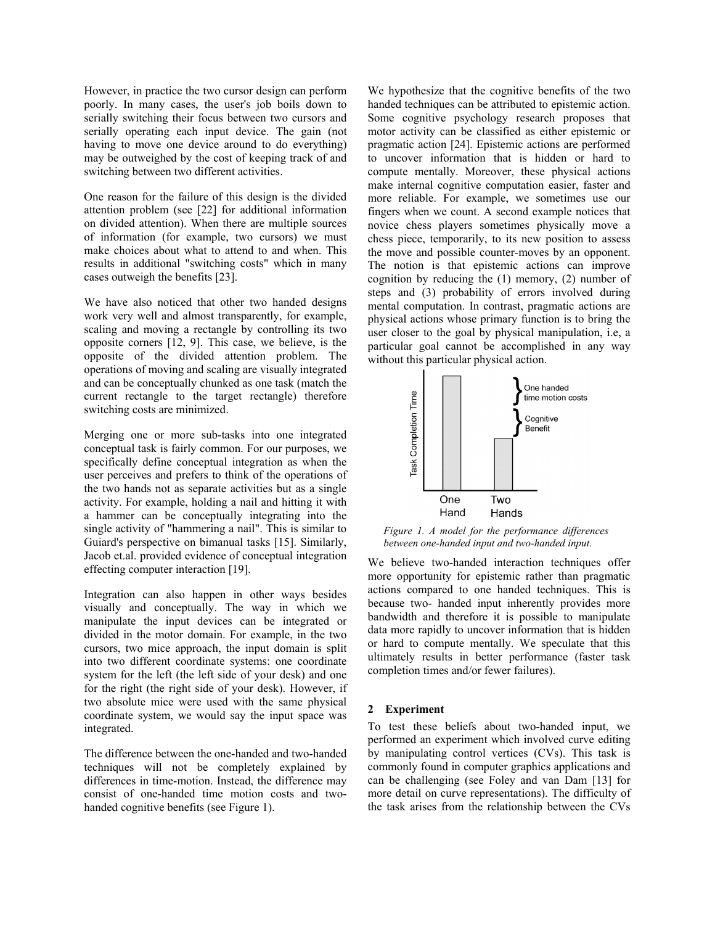However, in practice the two cursor design can perform poorly. In many cases, the user's job boils down to serially switching their focus between two cursors and serially operating each input device. The gain (not having to move one device around to do everything) may be outweighed by the cost of keeping track of and switching between two different activities.

One reason for the failure of this design is the divided attention problem (see [22] for additional information on divided attention). When there are multiple sources of information (for example, two cursors) we must make choices about what to attend to and when. This results in additional "switching costs" which in many cases outweigh the benefits [23].

We have also noticed that other two handed designs work very well and almost transparently, for example, scaling and moving a rectangle by controlling its two opposite corners [12, 9]. This case, we believe, is the opposite of the divided attention problem. The operations of moving and scaling are visually integrated and can be conceptually chunked as one task (match the current rectangle to the target rectangle) therefore switching costs are minimized.

Merging one or more sub-tasks into one integrated conceptual task is fairly common. For our purposes, we specifically define conceptual integration as when the user perceives and prefers to think of the operations of the two hands not as separate activities but as a single activity. For example, holding a nail and hitting it with a hammer can be conceptually integrating into the single activity of "hammering a nail". This is similar to Guiard's perspective on bimanual tasks [15]. Similarly, Jacob et.al. provided evidence of conceptual integration effecting computer interaction [19].

Integration can also happen in other ways besides visually and conceptually. The way in which we manipulate the input devices can be integrated or divided in the motor domain. For example, in the two cursors, two mice approach, the input domain is split into two different coordinate systems: one coordinate system for the left (the left side of your desk) and one for the right (the right side of your desk). However, if two absolute mice were used with the same physical coordinate system, we would say the input space was integrated.

The difference between the one-handed and two-handed techniques will not be completely explained by differences in time-motion. Instead, the difference may consist of one-handed time motion costs and twohanded cognitive benefits (see Figure 1).

We hypothesize that the cognitive benefits of the two handed techniques can be attributed to epistemic action. Some cognitive psychology research proposes that motor activity can be classified as either epistemic or pragmatic action [24]. Epistemic actions are performed to uncover information that is hidden or hard to compute mentally. Moreover, these physical actions make internal cognitive computation easier, faster and more reliable. For example, we sometimes use our fingers when we count. A second example notices that novice chess players sometimes physically move a chess piece, temporarily, to its new position to assess the move and possible counter-moves by an opponent. The notion is that epistemic actions can improve cognition by reducing the (1) memory, (2) number of steps and (3) probability of errors involved during mental computation. In contrast, pragmatic actions are physical actions whose primary function is to bring the user closer to the goal by physical manipulation, i.e, a particular goal cannot be accomplished in any way without this particular physical action.



*Figure 1. A model for the performance differences between one-handed input and two-handed input.* 

We believe two-handed interaction techniques offer more opportunity for epistemic rather than pragmatic actions compared to one handed techniques. This is because two- handed input inherently provides more bandwidth and therefore it is possible to manipulate data more rapidly to uncover information that is hidden or hard to compute mentally. We speculate that this ultimately results in better performance (faster task completion times and/or fewer failures).

## **2 Experiment**

To test these beliefs about two-handed input, we performed an experiment which involved curve editing by manipulating control vertices (CVs). This task is commonly found in computer graphics applications and can be challenging (see Foley and van Dam [13] for more detail on curve representations). The difficulty of the task arises from the relationship between the CVs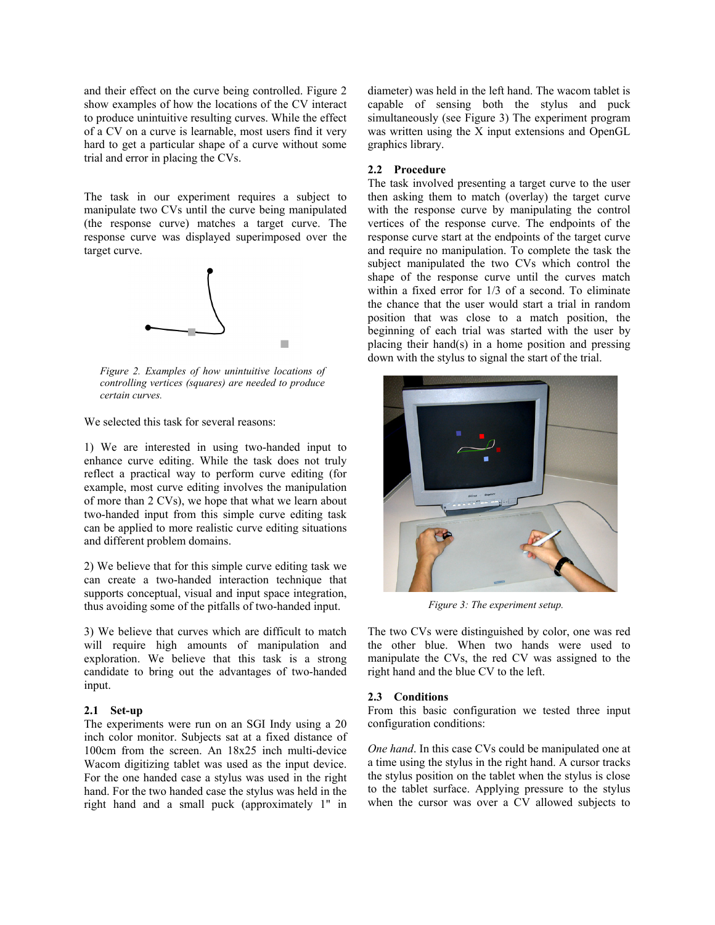and their effect on the curve being controlled. Figure 2 show examples of how the locations of the CV interact to produce unintuitive resulting curves. While the effect of a CV on a curve is learnable, most users find it very hard to get a particular shape of a curve without some trial and error in placing the CVs.

The task in our experiment requires a subject to manipulate two CVs until the curve being manipulated (the response curve) matches a target curve. The response curve was displayed superimposed over the target curve.



*Figure 2. Examples of how unintuitive locations of controlling vertices (squares) are needed to produce certain curves.* 

We selected this task for several reasons:

1) We are interested in using two-handed input to enhance curve editing. While the task does not truly reflect a practical way to perform curve editing (for example, most curve editing involves the manipulation of more than 2 CVs), we hope that what we learn about two-handed input from this simple curve editing task can be applied to more realistic curve editing situations and different problem domains.

2) We believe that for this simple curve editing task we can create a two-handed interaction technique that supports conceptual, visual and input space integration, thus avoiding some of the pitfalls of two-handed input.

3) We believe that curves which are difficult to match will require high amounts of manipulation and exploration. We believe that this task is a strong candidate to bring out the advantages of two-handed input.

### **2.1 Set-up**

The experiments were run on an SGI Indy using a 20 inch color monitor. Subjects sat at a fixed distance of 100cm from the screen. An 18x25 inch multi-device Wacom digitizing tablet was used as the input device. For the one handed case a stylus was used in the right hand. For the two handed case the stylus was held in the right hand and a small puck (approximately 1" in

diameter) was held in the left hand. The wacom tablet is capable of sensing both the stylus and puck simultaneously (see Figure 3) The experiment program was written using the X input extensions and OpenGL graphics library.

## **2.2 Procedure**

The task involved presenting a target curve to the user then asking them to match (overlay) the target curve with the response curve by manipulating the control vertices of the response curve. The endpoints of the response curve start at the endpoints of the target curve and require no manipulation. To complete the task the subject manipulated the two CVs which control the shape of the response curve until the curves match within a fixed error for  $1/3$  of a second. To eliminate the chance that the user would start a trial in random position that was close to a match position, the beginning of each trial was started with the user by placing their hand(s) in a home position and pressing down with the stylus to signal the start of the trial.



*Figure 3: The experiment setup.* 

The two CVs were distinguished by color, one was red the other blue. When two hands were used to manipulate the CVs, the red CV was assigned to the right hand and the blue CV to the left.

#### **2.3 Conditions**

From this basic configuration we tested three input configuration conditions:

*One hand*. In this case CVs could be manipulated one at a time using the stylus in the right hand. A cursor tracks the stylus position on the tablet when the stylus is close to the tablet surface. Applying pressure to the stylus when the cursor was over a CV allowed subjects to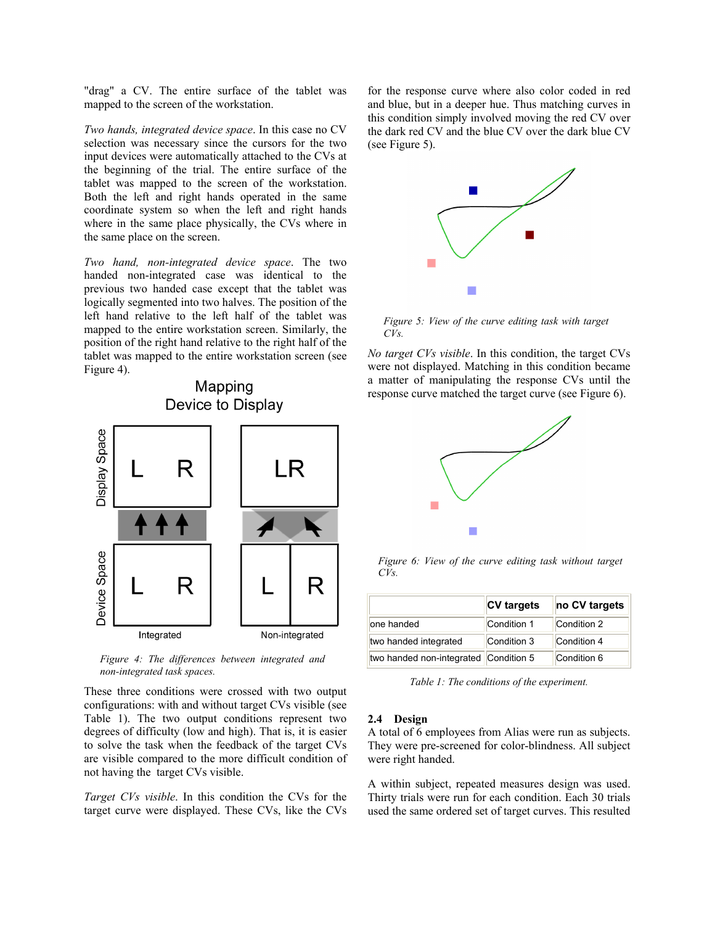"drag" a CV. The entire surface of the tablet was mapped to the screen of the workstation.

*Two hands, integrated device space*. In this case no CV selection was necessary since the cursors for the two input devices were automatically attached to the CVs at the beginning of the trial. The entire surface of the tablet was mapped to the screen of the workstation. Both the left and right hands operated in the same coordinate system so when the left and right hands where in the same place physically, the CVs where in the same place on the screen.

*Two hand, non-integrated device space*. The two handed non-integrated case was identical to the previous two handed case except that the tablet was logically segmented into two halves. The position of the left hand relative to the left half of the tablet was mapped to the entire workstation screen. Similarly, the position of the right hand relative to the right half of the tablet was mapped to the entire workstation screen (see Figure 4).

Mapping



*Figure 4: The differences between integrated and non-integrated task spaces.* 

These three conditions were crossed with two output configurations: with and without target CVs visible (see Table 1). The two output conditions represent two degrees of difficulty (low and high). That is, it is easier to solve the task when the feedback of the target CVs are visible compared to the more difficult condition of not having the target CVs visible.

*Target CVs visible*. In this condition the CVs for the target curve were displayed. These CVs, like the CVs

for the response curve where also color coded in red and blue, but in a deeper hue. Thus matching curves in this condition simply involved moving the red CV over the dark red CV and the blue CV over the dark blue CV (see Figure 5).



*Figure 5: View of the curve editing task with target*   $CVs$ 

*No target CVs visible*. In this condition, the target CVs were not displayed. Matching in this condition became a matter of manipulating the response CVs until the response curve matched the target curve (see Figure 6).



*Figure 6: View of the curve editing task without target CVs.* 

|                                       | <b>CV</b> targets | no CV targets |
|---------------------------------------|-------------------|---------------|
| one handed                            | Condition 1       | Condition 2   |
| two handed integrated                 | Condition 3       | Condition 4   |
| two handed non-integrated Condition 5 |                   | Condition 6   |

*Table 1: The conditions of the experiment.* 

## **2.4 Design**

A total of 6 employees from Alias were run as subjects. They were pre-screened for color-blindness. All subject were right handed.

A within subject, repeated measures design was used. Thirty trials were run for each condition. Each 30 trials used the same ordered set of target curves. This resulted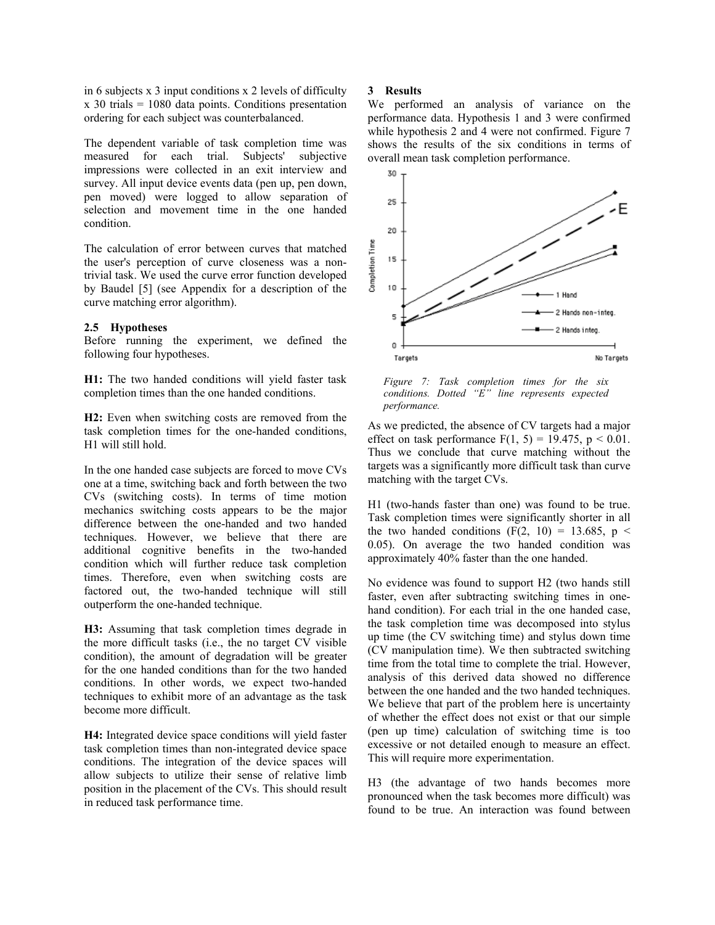in 6 subjects x 3 input conditions x 2 levels of difficulty  $x$  30 trials = 1080 data points. Conditions presentation ordering for each subject was counterbalanced.

The dependent variable of task completion time was measured for each trial. Subjects' subjective impressions were collected in an exit interview and survey. All input device events data (pen up, pen down, pen moved) were logged to allow separation of selection and movement time in the one handed condition.

The calculation of error between curves that matched the user's perception of curve closeness was a nontrivial task. We used the curve error function developed by Baudel [5] (see Appendix for a description of the curve matching error algorithm).

# **2.5 Hypotheses**

Before running the experiment, we defined the following four hypotheses.

**H1:** The two handed conditions will yield faster task completion times than the one handed conditions.

**H2:** Even when switching costs are removed from the task completion times for the one-handed conditions, H1 will still hold.

In the one handed case subjects are forced to move CVs one at a time, switching back and forth between the two CVs (switching costs). In terms of time motion mechanics switching costs appears to be the major difference between the one-handed and two handed techniques. However, we believe that there are additional cognitive benefits in the two-handed condition which will further reduce task completion times. Therefore, even when switching costs are factored out, the two-handed technique will still outperform the one-handed technique.

**H3:** Assuming that task completion times degrade in the more difficult tasks (i.e., the no target CV visible condition), the amount of degradation will be greater for the one handed conditions than for the two handed conditions. In other words, we expect two-handed techniques to exhibit more of an advantage as the task become more difficult.

**H4:** Integrated device space conditions will yield faster task completion times than non-integrated device space conditions. The integration of the device spaces will allow subjects to utilize their sense of relative limb position in the placement of the CVs. This should result in reduced task performance time.

#### **3 Results**

We performed an analysis of variance on the performance data. Hypothesis 1 and 3 were confirmed while hypothesis 2 and 4 were not confirmed. Figure 7 shows the results of the six conditions in terms of overall mean task completion performance.



*Figure 7: Task completion times for the six conditions. Dotted "E" line represents expected performance.* 

As we predicted, the absence of CV targets had a major effect on task performance  $F(1, 5) = 19.475$ ,  $p < 0.01$ . Thus we conclude that curve matching without the targets was a significantly more difficult task than curve matching with the target CVs.

H1 (two-hands faster than one) was found to be true. Task completion times were significantly shorter in all the two handed conditions (F(2, 10) = 13.685, p < 0.05). On average the two handed condition was approximately 40% faster than the one handed.

No evidence was found to support H2 (two hands still faster, even after subtracting switching times in onehand condition). For each trial in the one handed case, the task completion time was decomposed into stylus up time (the CV switching time) and stylus down time (CV manipulation time). We then subtracted switching time from the total time to complete the trial. However, analysis of this derived data showed no difference between the one handed and the two handed techniques. We believe that part of the problem here is uncertainty of whether the effect does not exist or that our simple (pen up time) calculation of switching time is too excessive or not detailed enough to measure an effect. This will require more experimentation.

H3 (the advantage of two hands becomes more pronounced when the task becomes more difficult) was found to be true. An interaction was found between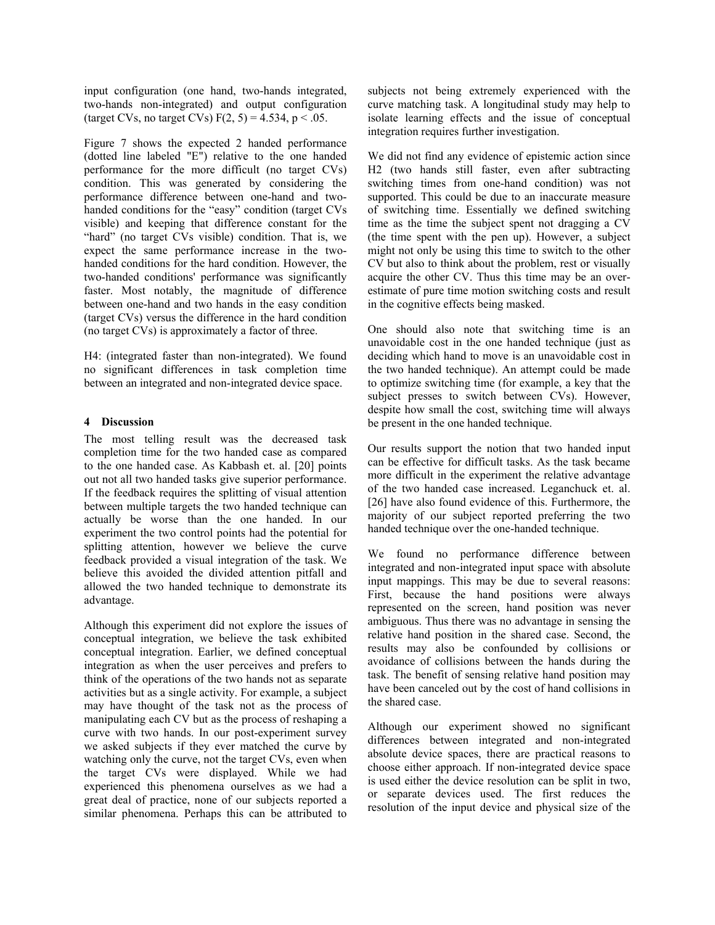input configuration (one hand, two-hands integrated, two-hands non-integrated) and output configuration (target CVs, no target CVs)  $F(2, 5) = 4.534$ ,  $p < .05$ .

Figure 7 shows the expected 2 handed performance (dotted line labeled "E") relative to the one handed performance for the more difficult (no target CVs) condition. This was generated by considering the performance difference between one-hand and twohanded conditions for the "easy" condition (target CVs visible) and keeping that difference constant for the "hard" (no target CVs visible) condition. That is, we expect the same performance increase in the twohanded conditions for the hard condition. However, the two-handed conditions' performance was significantly faster. Most notably, the magnitude of difference between one-hand and two hands in the easy condition (target CVs) versus the difference in the hard condition (no target CVs) is approximately a factor of three.

H4: (integrated faster than non-integrated). We found no significant differences in task completion time between an integrated and non-integrated device space.

# **4 Discussion**

The most telling result was the decreased task completion time for the two handed case as compared to the one handed case. As Kabbash et. al. [20] points out not all two handed tasks give superior performance. If the feedback requires the splitting of visual attention between multiple targets the two handed technique can actually be worse than the one handed. In our experiment the two control points had the potential for splitting attention, however we believe the curve feedback provided a visual integration of the task. We believe this avoided the divided attention pitfall and allowed the two handed technique to demonstrate its advantage.

Although this experiment did not explore the issues of conceptual integration, we believe the task exhibited conceptual integration. Earlier, we defined conceptual integration as when the user perceives and prefers to think of the operations of the two hands not as separate activities but as a single activity. For example, a subject may have thought of the task not as the process of manipulating each CV but as the process of reshaping a curve with two hands. In our post-experiment survey we asked subjects if they ever matched the curve by watching only the curve, not the target CVs, even when the target CVs were displayed. While we had experienced this phenomena ourselves as we had a great deal of practice, none of our subjects reported a similar phenomena. Perhaps this can be attributed to subjects not being extremely experienced with the curve matching task. A longitudinal study may help to isolate learning effects and the issue of conceptual integration requires further investigation.

We did not find any evidence of epistemic action since H2 (two hands still faster, even after subtracting switching times from one-hand condition) was not supported. This could be due to an inaccurate measure of switching time. Essentially we defined switching time as the time the subject spent not dragging a CV (the time spent with the pen up). However, a subject might not only be using this time to switch to the other CV but also to think about the problem, rest or visually acquire the other CV. Thus this time may be an overestimate of pure time motion switching costs and result in the cognitive effects being masked.

One should also note that switching time is an unavoidable cost in the one handed technique (just as deciding which hand to move is an unavoidable cost in the two handed technique). An attempt could be made to optimize switching time (for example, a key that the subject presses to switch between CVs). However, despite how small the cost, switching time will always be present in the one handed technique.

Our results support the notion that two handed input can be effective for difficult tasks. As the task became more difficult in the experiment the relative advantage of the two handed case increased. Leganchuck et. al. [26] have also found evidence of this. Furthermore, the majority of our subject reported preferring the two handed technique over the one-handed technique.

We found no performance difference between integrated and non-integrated input space with absolute input mappings. This may be due to several reasons: First, because the hand positions were always represented on the screen, hand position was never ambiguous. Thus there was no advantage in sensing the relative hand position in the shared case. Second, the results may also be confounded by collisions or avoidance of collisions between the hands during the task. The benefit of sensing relative hand position may have been canceled out by the cost of hand collisions in the shared case.

Although our experiment showed no significant differences between integrated and non-integrated absolute device spaces, there are practical reasons to choose either approach. If non-integrated device space is used either the device resolution can be split in two, or separate devices used. The first reduces the resolution of the input device and physical size of the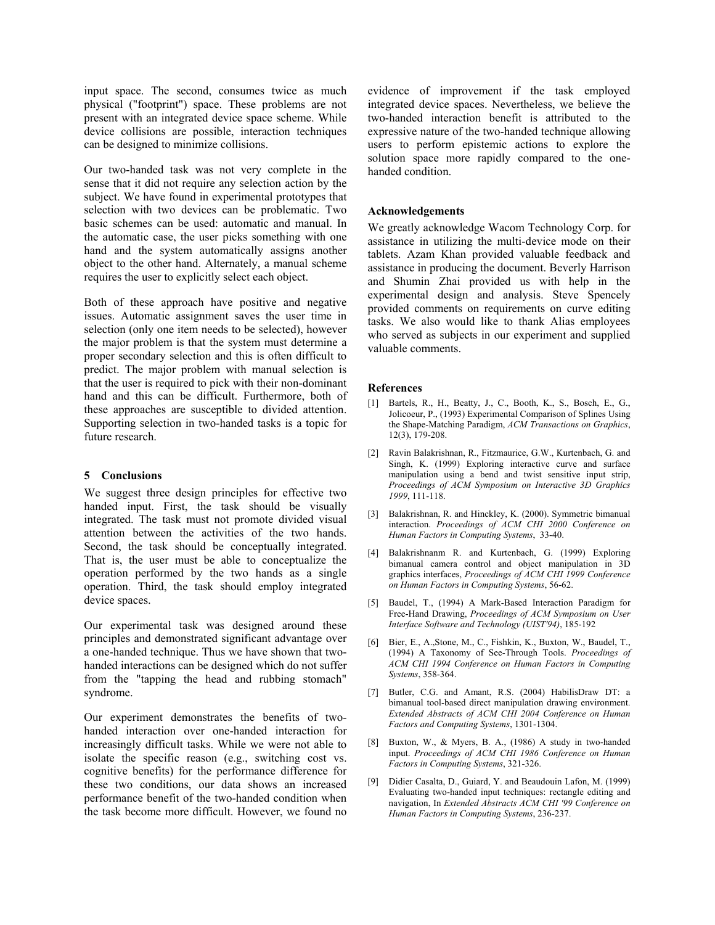input space. The second, consumes twice as much physical ("footprint") space. These problems are not present with an integrated device space scheme. While device collisions are possible, interaction techniques can be designed to minimize collisions.

Our two-handed task was not very complete in the sense that it did not require any selection action by the subject. We have found in experimental prototypes that selection with two devices can be problematic. Two basic schemes can be used: automatic and manual. In the automatic case, the user picks something with one hand and the system automatically assigns another object to the other hand. Alternately, a manual scheme requires the user to explicitly select each object.

Both of these approach have positive and negative issues. Automatic assignment saves the user time in selection (only one item needs to be selected), however the major problem is that the system must determine a proper secondary selection and this is often difficult to predict. The major problem with manual selection is that the user is required to pick with their non-dominant hand and this can be difficult. Furthermore, both of these approaches are susceptible to divided attention. Supporting selection in two-handed tasks is a topic for future research.

# **5 Conclusions**

We suggest three design principles for effective two handed input. First, the task should be visually integrated. The task must not promote divided visual attention between the activities of the two hands. Second, the task should be conceptually integrated. That is, the user must be able to conceptualize the operation performed by the two hands as a single operation. Third, the task should employ integrated device spaces.

Our experimental task was designed around these principles and demonstrated significant advantage over a one-handed technique. Thus we have shown that twohanded interactions can be designed which do not suffer from the "tapping the head and rubbing stomach" syndrome.

Our experiment demonstrates the benefits of twohanded interaction over one-handed interaction for increasingly difficult tasks. While we were not able to isolate the specific reason (e.g., switching cost vs. cognitive benefits) for the performance difference for these two conditions, our data shows an increased performance benefit of the two-handed condition when the task become more difficult. However, we found no evidence of improvement if the task employed integrated device spaces. Nevertheless, we believe the two-handed interaction benefit is attributed to the expressive nature of the two-handed technique allowing users to perform epistemic actions to explore the solution space more rapidly compared to the onehanded condition.

# **Acknowledgements**

We greatly acknowledge Wacom Technology Corp. for assistance in utilizing the multi-device mode on their tablets. Azam Khan provided valuable feedback and assistance in producing the document. Beverly Harrison and Shumin Zhai provided us with help in the experimental design and analysis. Steve Spencely provided comments on requirements on curve editing tasks. We also would like to thank Alias employees who served as subjects in our experiment and supplied valuable comments.

## **References**

- [1] Bartels, R., H., Beatty, J., C., Booth, K., S., Bosch, E., G., Jolicoeur, P., (1993) Experimental Comparison of Splines Using the Shape-Matching Paradigm, *ACM Transactions on Graphics*, 12(3), 179-208.
- [2] Ravin Balakrishnan, R., Fitzmaurice, G.W., Kurtenbach, G. and Singh, K. (1999) Exploring interactive curve and surface manipulation using a bend and twist sensitive input strip, *Proceedings of ACM Symposium on Interactive 3D Graphics 1999*, 111-118.
- [3] Balakrishnan, R. and Hinckley, K. (2000). [Symmetric bimanual](http://www.dgp.toronto.edu/~ravin/papers/chi2000_symmetricbimanual.pdf)  [interaction](http://www.dgp.toronto.edu/~ravin/papers/chi2000_symmetricbimanual.pdf). *Proceedings of ACM CHI 2000 Conference on Human Factors in Computing Systems*, 33-40.
- [4] Balakrishnanm R. and Kurtenbach, G. (1999) Exploring bimanual camera control and object manipulation in 3D graphics interfaces, *Proceedings of ACM CHI 1999 Conference on Human Factors in Computing Systems*, 56-62.
- [5] Baudel, T., (1994) A Mark-Based Interaction Paradigm for Free-Hand Drawing, *Proceedings of ACM Symposium on User Interface Software and Technology (UIST'94)*, 185-192
- [6] Bier, E., A.,Stone, M., C., Fishkin, K., Buxton, W., Baudel, T., (1994) A Taxonomy of See-Through Tools. *Proceedings of ACM CHI 1994 Conference on Human Factors in Computing Systems*, 358-364.
- [7] Butler, C.G. and Amant, R.S. (2004) HabilisDraw DT: a bimanual tool-based direct manipulation drawing environment. *Extended Abstracts of ACM CHI 2004 Conference on Human Factors and Computing Systems*, 1301-1304.
- [8] Buxton, W., & Myers, B. A., (1986) A study in two-handed input. *Proceedings of ACM CHI 1986 Conference on Human Factors in Computing Systems*, 321-326.
- [9] Didier Casalta, D., Guiard, Y. and Beaudouin Lafon, M. (1999) Evaluating two-handed input techniques: rectangle editing and navigation, In *Extended Abstracts ACM CHI '99 Conference on Human Factors in Computing Systems*, 236-237.